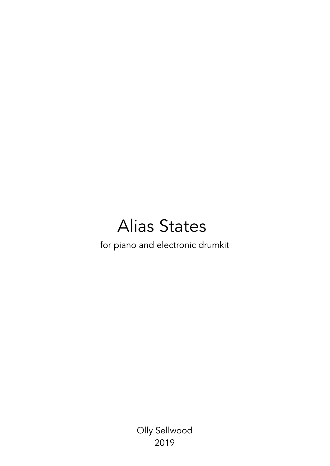# Alias States

for piano and electronic drumkit

Olly Sellwood 2019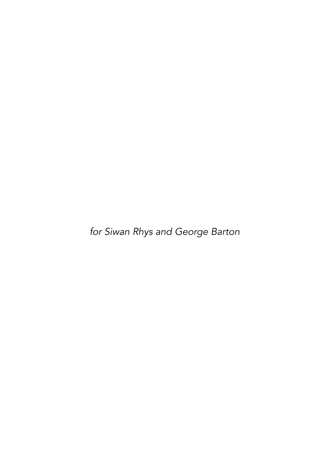for Siwan Rhys and George Barton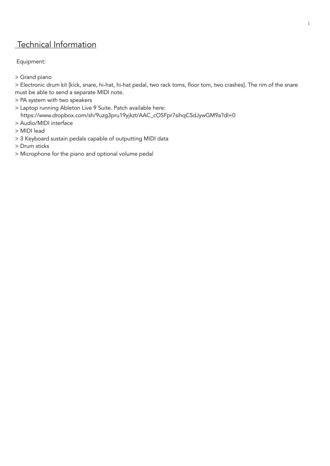## Technical Information

Equipment:

> Grand piano

> Electronic drum kit [kick, snare, hi-hat, hi-hat pedal, two rack toms, floor tom, two crashes]. The rim of the snare must be able to send a separate MIDI note.

- > PA system with two speakers
- > Laptop running Ableton Live 9 Suite. Patch available here:
- https://www.dropbox.com/sh/9uzg3pru19yjkzt/AAC\_cOSFpr7sihqC5dJywGM9a?dl=0
- > Audio/MIDI interface
- > MIDI lead
- > 3 Keyboard sustain pedals capable of outputting MIDI data
- > Drum sticks
- > Microphone for the piano and optional volume pedal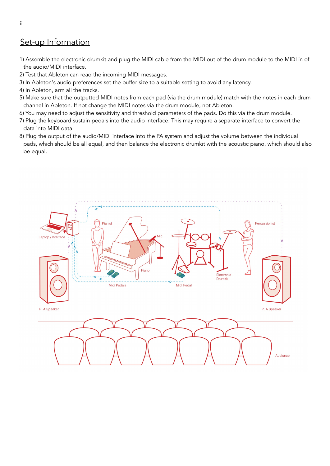## Set-up Information

- 1) Assemble the electronic drumkit and plug the MIDI cable from the MIDI out of the drum module to the MIDI in of the audio/MIDI interface.
- 2) Test that Ableton can read the incoming MIDI messages.
- 3) In Ableton's audio preferences set the buffer size to a suitable setting to avoid any latency.
- 4) In Ableton, arm all the tracks.
- 5) Make sure that the outputted MIDI notes from each pad (via the drum module) match with the notes in each drum channel in Ableton. If not change the MIDI notes via the drum module, not Ableton.
- 6) You may need to adjust the sensitivity and threshold parameters of the pads. Do this via the drum module.
- 7) Plug the keyboard sustain pedals into the audio interface. This may require a separate interface to convert the data into MIDI data.
- 8) Plug the output of the audio/MIDI interface into the PA system and adjust the volume between the individual pads, which should be all equal, and then balance the electronic drumkit with the acoustic piano, which should also be equal.

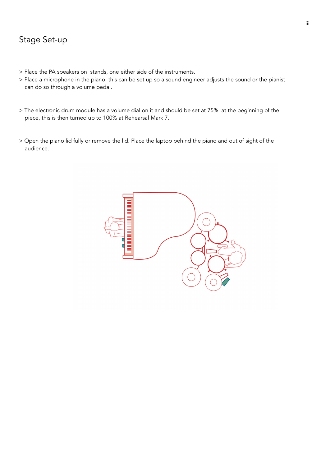### Stage Set-up

- > Place the PA speakers on stands, one either side of the instruments.
- > Place a microphone in the piano, this can be set up so a sound engineer adjusts the sound or the pianist can do so through a volume pedal.
- > The electronic drum module has a volume dial on it and should be set at 75% at the beginning of the piece, this is then turned up to 100% at Rehearsal Mark 7.
- > Open the piano lid fully or remove the lid. Place the laptop behind the piano and out of sight of the audience.

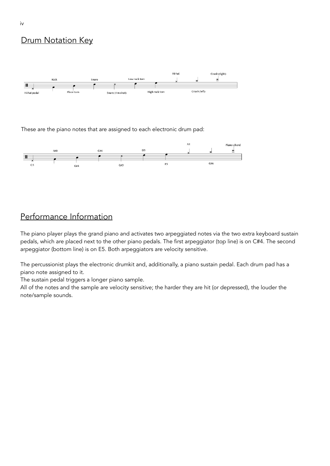### Drum Notation Key



These are the piano notes that are assigned to each electronic drum pad:



#### Performance Information

The piano player plays the grand piano and activates two arpeggiated notes via the two extra keyboard sustain pedals, which are placed next to the other piano pedals. The first arpeggiator (top line) is on C#4. The second arpeggiator (bottom line) is on E5. Both arpeggiators are velocity sensitive.

The percussionist plays the electronic drumkit and, additionally, a piano sustain pedal. Each drum pad has a piano note assigned to it.

The sustain pedal triggers a longer piano sample.

All of the notes and the sample are velocity sensitive; the harder they are hit (or depressed), the louder the note/sample sounds.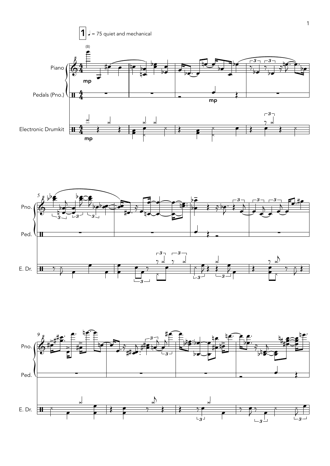



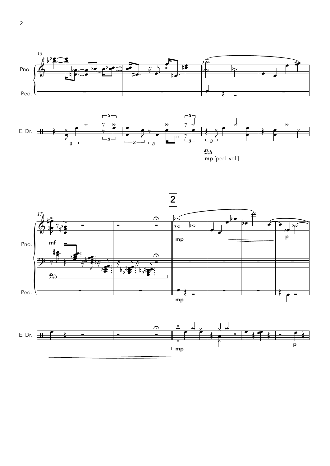



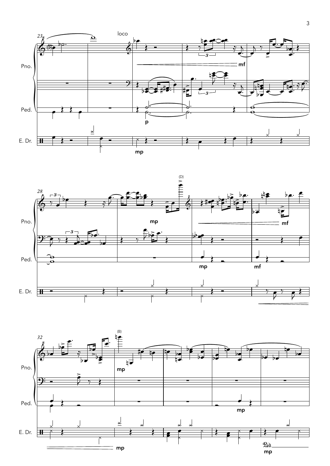



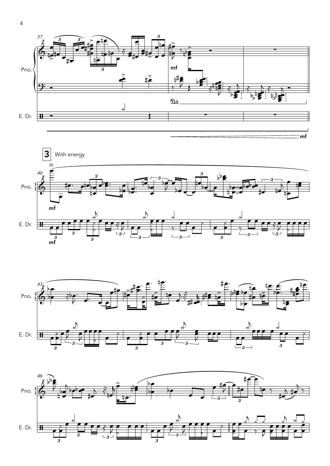





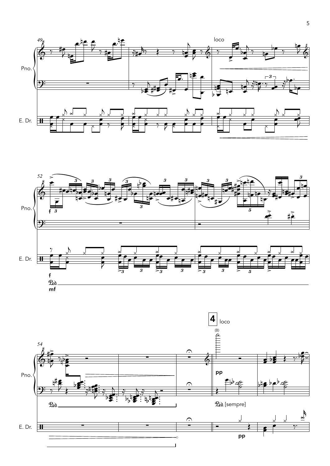



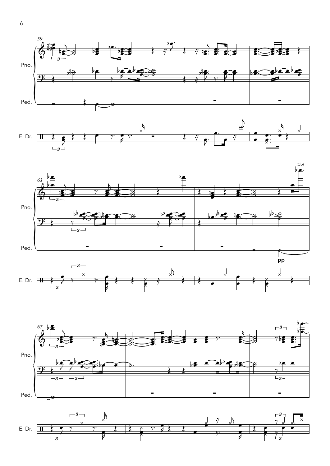





6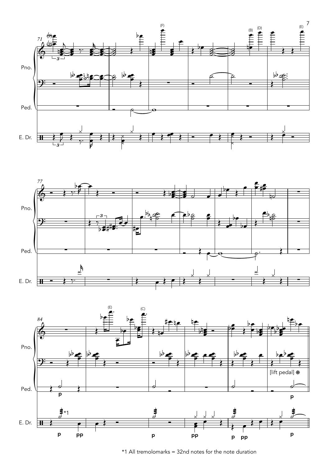





\*1 All tremolomarks = 32nd notes for the note duration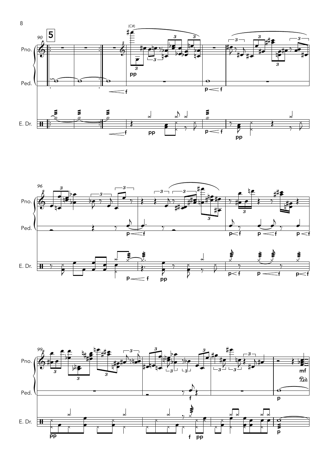



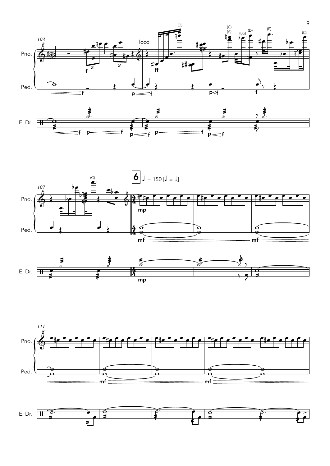

p

p

 $\mathbf{f}$ p



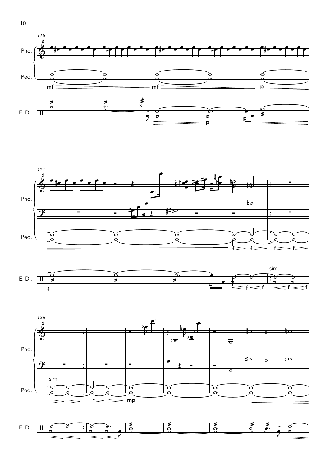



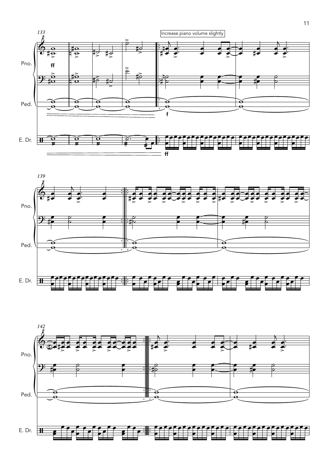



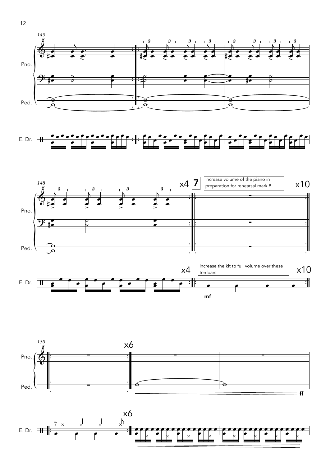





12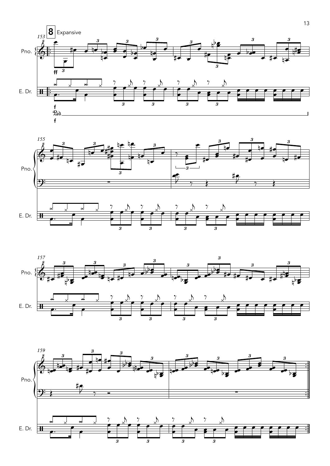





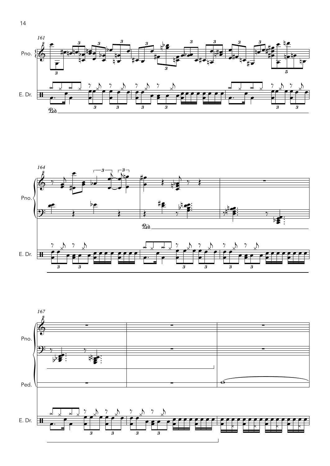



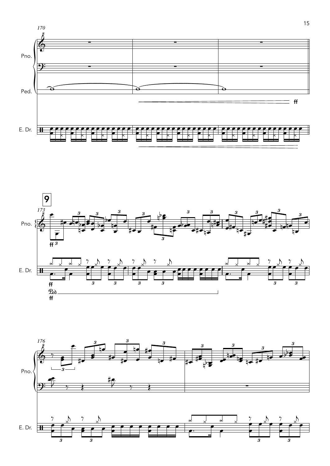



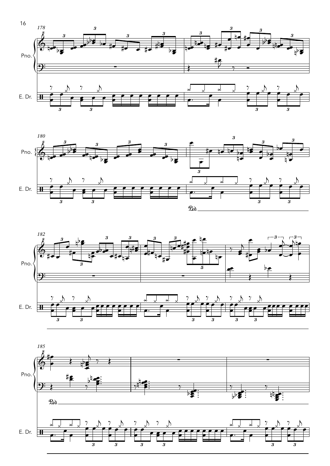